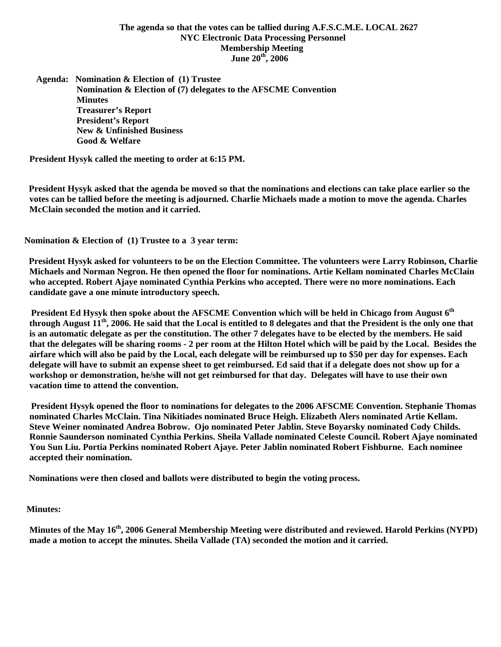# **The agenda so that the votes can be tallied during A.F.S.C.M.E. LOCAL 2627 NYC Electronic Data Processing Personnel Membership Meeting June 20th, 2006**

 **Agenda: Nomination & Election of (1) Trustee Nomination & Election of (7) delegates to the AFSCME Convention Minutes Treasurer's Report President's Report New & Unfinished Business Good & Welfare** 

**President Hysyk called the meeting to order at 6:15 PM.** 

 **President Hysyk asked that the agenda be moved so that the nominations and elections can take place earlier so the votes can be tallied before the meeting is adjourned. Charlie Michaels made a motion to move the agenda. Charles McClain seconded the motion and it carried.** 

 **Nomination & Election of (1) Trustee to a 3 year term:** 

 **President Hysyk asked for volunteers to be on the Election Committee. The volunteers were Larry Robinson, Charlie Michaels and Norman Negron. He then opened the floor for nominations. Artie Kellam nominated Charles McClain who accepted. Robert Ajaye nominated Cynthia Perkins who accepted. There were no more nominations. Each candidate gave a one minute introductory speech.** 

 **President Ed Hysyk then spoke about the AFSCME Convention which will be held in Chicago from August 6<sup>th</sup> through August 11th, 2006. He said that the Local is entitled to 8 delegates and that the President is the only one that is an automatic delegate as per the constitution. The other 7 delegates have to be elected by the members. He said that the delegates will be sharing rooms - 2 per room at the Hilton Hotel which will be paid by the Local. Besides the airfare which will also be paid by the Local, each delegate will be reimbursed up to \$50 per day for expenses. Each delegate will have to submit an expense sheet to get reimbursed. Ed said that if a delegate does not show up for a workshop or demonstration, he/she will not get reimbursed for that day. Delegates will have to use their own vacation time to attend the convention.** 

 **President Hysyk opened the floor to nominations for delegates to the 2006 AFSCME Convention. Stephanie Thomas nominated Charles McClain. Tina Nikitiades nominated Bruce Heigh. Elizabeth Alers nominated Artie Kellam. Steve Weiner nominated Andrea Bobrow. Ojo nominated Peter Jablin. Steve Boyarsky nominated Cody Childs. Ronnie Saunderson nominated Cynthia Perkins. Sheila Vallade nominated Celeste Council. Robert Ajaye nominated You Sun Liu. Portia Perkins nominated Robert Ajaye. Peter Jablin nominated Robert Fishburne. Each nominee accepted their nomination.** 

 **Nominations were then closed and ballots were distributed to begin the voting process.** 

### **Minutes:**

Minutes of the May 16<sup>th</sup>, 2006 General Membership Meeting were distributed and reviewed. Harold Perkins (NYPD) **made a motion to accept the minutes. Sheila Vallade (TA) seconded the motion and it carried.**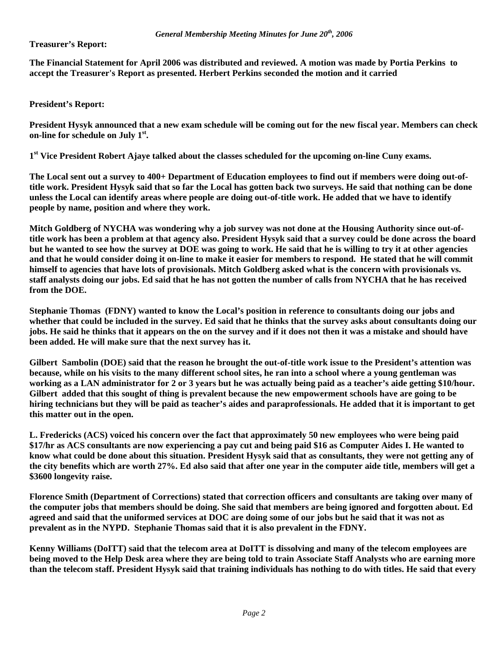**Treasurer's Report:** 

**The Financial Statement for April 2006 was distributed and reviewed. A motion was made by Portia Perkins to accept the Treasurer's Report as presented. Herbert Perkins seconded the motion and it carried** 

**President's Report:** 

**President Hysyk announced that a new exam schedule will be coming out for the new fiscal year. Members can check on-line for schedule on July 1st.** 

**1st Vice President Robert Ajaye talked about the classes scheduled for the upcoming on-line Cuny exams.** 

**The Local sent out a survey to 400+ Department of Education employees to find out if members were doing out-oftitle work. President Hysyk said that so far the Local has gotten back two surveys. He said that nothing can be done unless the Local can identify areas where people are doing out-of-title work. He added that we have to identify people by name, position and where they work.** 

**Mitch Goldberg of NYCHA was wondering why a job survey was not done at the Housing Authority since out-oftitle work has been a problem at that agency also. President Hysyk said that a survey could be done across the board but he wanted to see how the survey at DOE was going to work. He said that he is willing to try it at other agencies and that he would consider doing it on-line to make it easier for members to respond. He stated that he will commit himself to agencies that have lots of provisionals. Mitch Goldberg asked what is the concern with provisionals vs. staff analysts doing our jobs. Ed said that he has not gotten the number of calls from NYCHA that he has received from the DOE.** 

**Stephanie Thomas (FDNY) wanted to know the Local's position in reference to consultants doing our jobs and whether that could be included in the survey. Ed said that he thinks that the survey asks about consultants doing our jobs. He said he thinks that it appears on the on the survey and if it does not then it was a mistake and should have been added. He will make sure that the next survey has it.** 

**Gilbert Sambolin (DOE) said that the reason he brought the out-of-title work issue to the President's attention was because, while on his visits to the many different school sites, he ran into a school where a young gentleman was working as a LAN administrator for 2 or 3 years but he was actually being paid as a teacher's aide getting \$10/hour. Gilbert added that this sought of thing is prevalent because the new empowerment schools have are going to be hiring technicians but they will be paid as teacher's aides and paraprofessionals. He added that it is important to get this matter out in the open.** 

**L. Fredericks (ACS) voiced his concern over the fact that approximately 50 new employees who were being paid \$17/hr as ACS consultants are now experiencing a pay cut and being paid \$16 as Computer Aides I. He wanted to know what could be done about this situation. President Hysyk said that as consultants, they were not getting any of the city benefits which are worth 27%. Ed also said that after one year in the computer aide title, members will get a \$3600 longevity raise.** 

**Florence Smith (Department of Corrections) stated that correction officers and consultants are taking over many of the computer jobs that members should be doing. She said that members are being ignored and forgotten about. Ed agreed and said that the uniformed services at DOC are doing some of our jobs but he said that it was not as prevalent as in the NYPD. Stephanie Thomas said that it is also prevalent in the FDNY.** 

**Kenny Williams (DoITT) said that the telecom area at DoITT is dissolving and many of the telecom employees are being moved to the Help Desk area where they are being told to train Associate Staff Analysts who are earning more than the telecom staff. President Hysyk said that training individuals has nothing to do with titles. He said that every**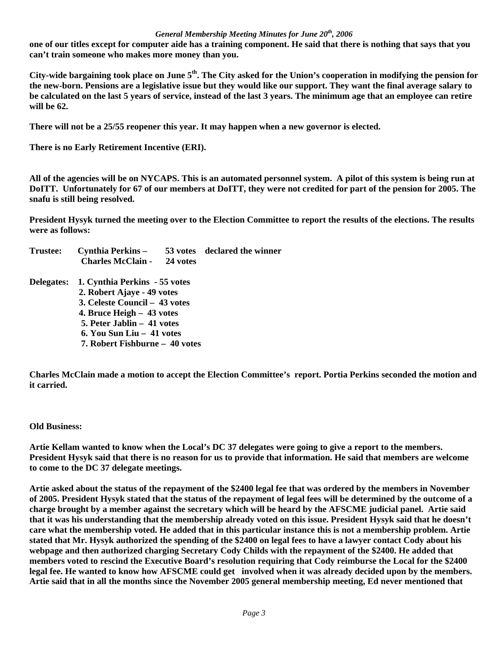### *General Membership Meeting Minutes for June 20th, 2006*

**one of our titles except for computer aide has a training component. He said that there is nothing that says that you can't train someone who makes more money than you.** 

**City-wide bargaining took place on June 5th. The City asked for the Union's cooperation in modifying the pension for the new-born. Pensions are a legislative issue but they would like our support. They want the final average salary to be calculated on the last 5 years of service, instead of the last 3 years. The minimum age that an employee can retire will be 62.** 

**There will not be a 25/55 reopener this year. It may happen when a new governor is elected.** 

**There is no Early Retirement Incentive (ERI).** 

**All of the agencies will be on NYCAPS. This is an automated personnel system. A pilot of this system is being run at DoITT. Unfortunately for 67 of our members at DoITT, they were not credited for part of the pension for 2005. The snafu is still being resolved.** 

**President Hysyk turned the meeting over to the Election Committee to report the results of the elections. The results were as follows:** 

| Trustee:          | Cynthia Perkins -                 |  | 53 votes declared the winner |
|-------------------|-----------------------------------|--|------------------------------|
|                   | <b>Charles McClain - 24 votes</b> |  |                              |
| <b>Delegates:</b> | 1. Cynthia Perkins - 55 votes     |  |                              |
|                   | 2. Robert Ajaye - 49 votes        |  |                              |
|                   | 3. Celeste Council – 43 votes     |  |                              |
|                   | 4. Bruce Heigh – 43 votes         |  |                              |
|                   | 5. Peter Jablin – 41 votes        |  |                              |
|                   | 6. You Sun Liu – 41 votes         |  |                              |
|                   | 7. Robert Fishburne – 40 votes    |  |                              |
|                   |                                   |  |                              |

**Charles McClain made a motion to accept the Election Committee's report. Portia Perkins seconded the motion and it carried.** 

### **Old Business:**

**Artie Kellam wanted to know when the Local's DC 37 delegates were going to give a report to the members. President Hysyk said that there is no reason for us to provide that information. He said that members are welcome to come to the DC 37 delegate meetings.** 

**Artie asked about the status of the repayment of the \$2400 legal fee that was ordered by the members in November of 2005. President Hysyk stated that the status of the repayment of legal fees will be determined by the outcome of a charge brought by a member against the secretary which will be heard by the AFSCME judicial panel. Artie said that it was his understanding that the membership already voted on this issue. President Hysyk said that he doesn't care what the membership voted. He added that in this particular instance this is not a membership problem. Artie stated that Mr. Hysyk authorized the spending of the \$2400 on legal fees to have a lawyer contact Cody about his webpage and then authorized charging Secretary Cody Childs with the repayment of the \$2400. He added that members voted to rescind the Executive Board's resolution requiring that Cody reimburse the Local for the \$2400 legal fee. He wanted to know how AFSCME could get involved when it was already decided upon by the members. Artie said that in all the months since the November 2005 general membership meeting, Ed never mentioned that**